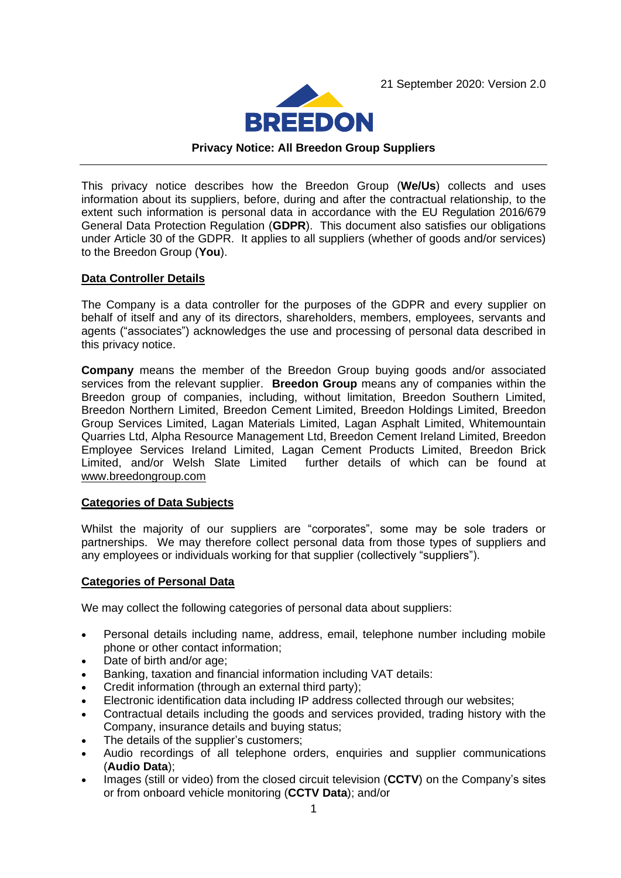21 September 2020: Version 2.0



#### **Privacy Notice: All Breedon Group Suppliers**

This privacy notice describes how the Breedon Group (**We/Us**) collects and uses information about its suppliers, before, during and after the contractual relationship, to the extent such information is personal data in accordance with the EU Regulation 2016/679 General Data Protection Regulation (**GDPR**). This document also satisfies our obligations under Article 30 of the GDPR. It applies to all suppliers (whether of goods and/or services) to the Breedon Group (**You**).

#### **Data Controller Details**

The Company is a data controller for the purposes of the GDPR and every supplier on behalf of itself and any of its directors, shareholders, members, employees, servants and agents ("associates") acknowledges the use and processing of personal data described in this privacy notice.

**Company** means the member of the Breedon Group buying goods and/or associated services from the relevant supplier. **Breedon Group** means any of companies within the Breedon group of companies, including, without limitation, Breedon Southern Limited, Breedon Northern Limited, Breedon Cement Limited, Breedon Holdings Limited, Breedon Group Services Limited, Lagan Materials Limited, Lagan Asphalt Limited, Whitemountain Quarries Ltd, Alpha Resource Management Ltd, Breedon Cement Ireland Limited, Breedon Employee Services Ireland Limited, Lagan Cement Products Limited, Breedon Brick Limited, and/or Welsh Slate Limited further details of which can be found at [www.breedongroup.com](http://www.breedongroup.com/)

#### **Categories of Data Subjects**

Whilst the majority of our suppliers are "corporates", some may be sole traders or partnerships. We may therefore collect personal data from those types of suppliers and any employees or individuals working for that supplier (collectively "suppliers").

#### **Categories of Personal Data**

We may collect the following categories of personal data about suppliers:

- Personal details including name, address, email, telephone number including mobile phone or other contact information;
- Date of birth and/or age;
- Banking, taxation and financial information including VAT details:
- Credit information (through an external third party);
- Electronic identification data including IP address collected through our websites;
- Contractual details including the goods and services provided, trading history with the Company, insurance details and buying status;
- The details of the supplier's customers:
- Audio recordings of all telephone orders, enquiries and supplier communications (**Audio Data**);
- Images (still or video) from the closed circuit television (**CCTV**) on the Company's sites or from onboard vehicle monitoring (**CCTV Data**); and/or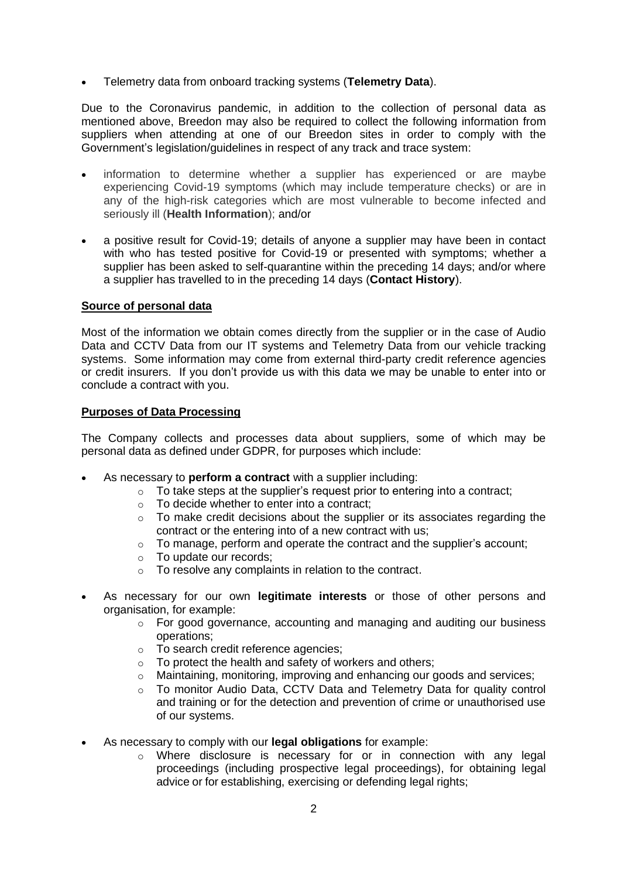• Telemetry data from onboard tracking systems (**Telemetry Data**).

Due to the Coronavirus pandemic, in addition to the collection of personal data as mentioned above, Breedon may also be required to collect the following information from suppliers when attending at one of our Breedon sites in order to comply with the Government's legislation/guidelines in respect of any track and trace system:

- information to determine whether a supplier has experienced or are maybe experiencing Covid-19 symptoms (which may include temperature checks) or are in any of the high-risk categories which are most vulnerable to become infected and seriously ill (**Health Information**); and/or
- a positive result for Covid-19; details of anyone a supplier may have been in contact with who has tested positive for Covid-19 or presented with symptoms; whether a supplier has been asked to self-quarantine within the preceding 14 days; and/or where a supplier has travelled to in the preceding 14 days (**Contact History**).

#### **Source of personal data**

Most of the information we obtain comes directly from the supplier or in the case of Audio Data and CCTV Data from our IT systems and Telemetry Data from our vehicle tracking systems. Some information may come from external third-party credit reference agencies or credit insurers. If you don't provide us with this data we may be unable to enter into or conclude a contract with you.

#### **Purposes of Data Processing**

The Company collects and processes data about suppliers, some of which may be personal data as defined under GDPR, for purposes which include:

- As necessary to **perform a contract** with a supplier including:
	- $\circ$  To take steps at the supplier's request prior to entering into a contract;
	- o To decide whether to enter into a contract;
	- o To make credit decisions about the supplier or its associates regarding the contract or the entering into of a new contract with us;
	- o To manage, perform and operate the contract and the supplier's account;
	- o To update our records;
	- o To resolve any complaints in relation to the contract.
- As necessary for our own **legitimate interests** or those of other persons and organisation, for example:
	- $\circ$  For good governance, accounting and managing and auditing our business operations;
	- o To search credit reference agencies;
	- o To protect the health and safety of workers and others;
	- $\circ$  Maintaining, monitoring, improving and enhancing our goods and services;
	- $\circ$  To monitor Audio Data, CCTV Data and Telemetry Data for quality control and training or for the detection and prevention of crime or unauthorised use of our systems.
- As necessary to comply with our **legal obligations** for example:
	- $\circ$  Where disclosure is necessary for or in connection with any legal proceedings (including prospective legal proceedings), for obtaining legal advice or for establishing, exercising or defending legal rights;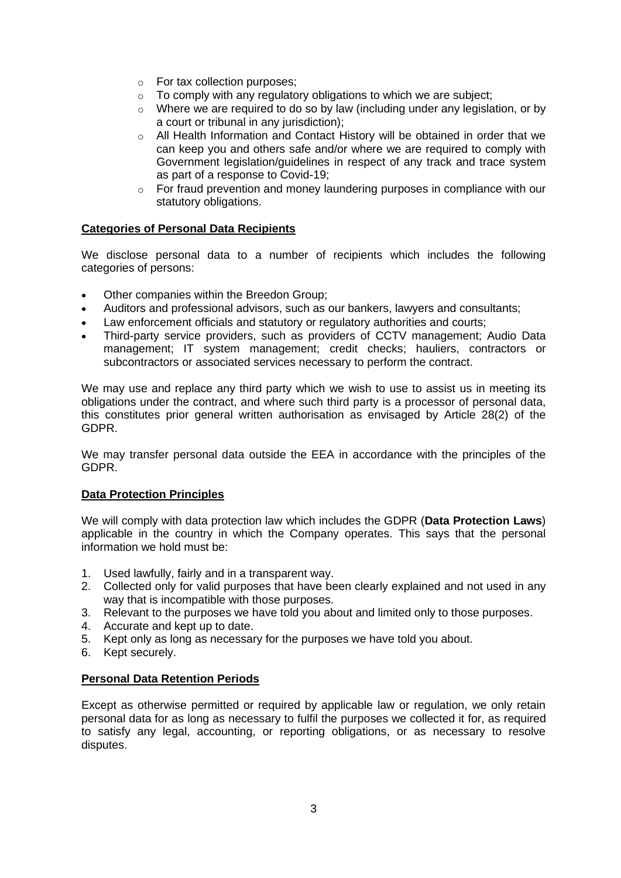- o For tax collection purposes;
- $\circ$  To comply with any regulatory obligations to which we are subject;
- $\circ$  Where we are required to do so by law (including under any legislation, or by a court or tribunal in any jurisdiction);
- o All Health Information and Contact History will be obtained in order that we can keep you and others safe and/or where we are required to comply with Government legislation/guidelines in respect of any track and trace system as part of a response to Covid-19;
- o For fraud prevention and money laundering purposes in compliance with our statutory obligations.

### **Categories of Personal Data Recipients**

We disclose personal data to a number of recipients which includes the following categories of persons:

- Other companies within the Breedon Group;
- Auditors and professional advisors, such as our bankers, lawyers and consultants;
- Law enforcement officials and statutory or regulatory authorities and courts;
- Third-party service providers, such as providers of CCTV management; Audio Data management; IT system management; credit checks; hauliers, contractors or subcontractors or associated services necessary to perform the contract.

We may use and replace any third party which we wish to use to assist us in meeting its obligations under the contract, and where such third party is a processor of personal data, this constitutes prior general written authorisation as envisaged by Article 28(2) of the GDPR.

We may transfer personal data outside the EEA in accordance with the principles of the GDPR.

#### **Data Protection Principles**

We will comply with data protection law which includes the GDPR (**Data Protection Laws**) applicable in the country in which the Company operates. This says that the personal information we hold must be:

- 1. Used lawfully, fairly and in a transparent way.
- 2. Collected only for valid purposes that have been clearly explained and not used in any way that is incompatible with those purposes.
- 3. Relevant to the purposes we have told you about and limited only to those purposes.
- 4. Accurate and kept up to date.
- 5. Kept only as long as necessary for the purposes we have told you about.
- 6. Kept securely.

#### **Personal Data Retention Periods**

Except as otherwise permitted or required by applicable law or regulation, we only retain personal data for as long as necessary to fulfil the purposes we collected it for, as required to satisfy any legal, accounting, or reporting obligations, or as necessary to resolve disputes.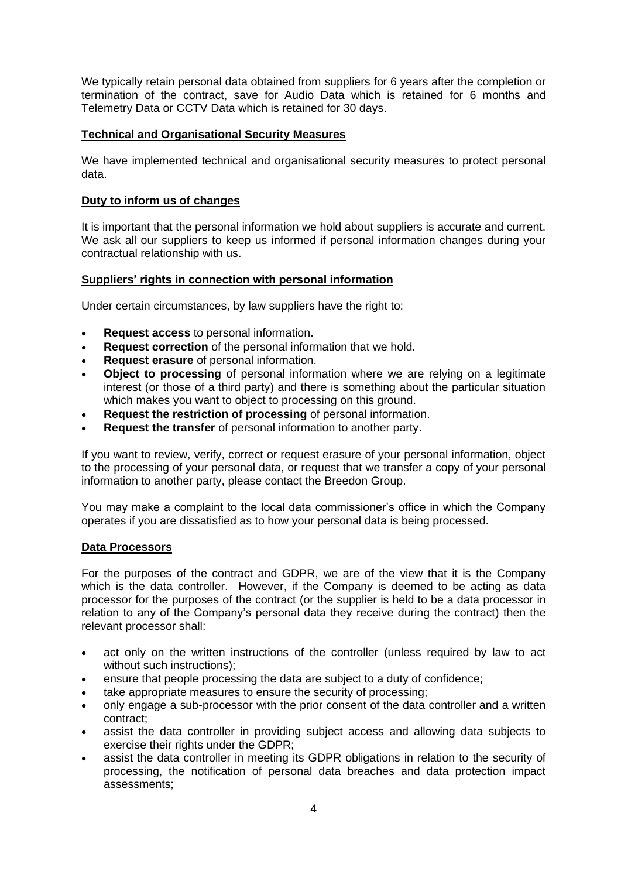We typically retain personal data obtained from suppliers for 6 years after the completion or termination of the contract, save for Audio Data which is retained for 6 months and Telemetry Data or CCTV Data which is retained for 30 days.

## **Technical and Organisational Security Measures**

We have implemented technical and organisational security measures to protect personal data.

# **Duty to inform us of changes**

It is important that the personal information we hold about suppliers is accurate and current. We ask all our suppliers to keep us informed if personal information changes during your contractual relationship with us.

## **Suppliers' rights in connection with personal information**

Under certain circumstances, by law suppliers have the right to:

- **Request access** to personal information.
- **Request correction** of the personal information that we hold.
- **Request erasure** of personal information.
- **Object to processing** of personal information where we are relying on a legitimate interest (or those of a third party) and there is something about the particular situation which makes you want to object to processing on this ground.
- **Request the restriction of processing** of personal information.
- **Request the transfer** of personal information to another party.

If you want to review, verify, correct or request erasure of your personal information, object to the processing of your personal data, or request that we transfer a copy of your personal information to another party, please contact the Breedon Group.

You may make a complaint to the local data commissioner's office in which the Company operates if you are dissatisfied as to how your personal data is being processed.

#### **Data Processors**

For the purposes of the contract and GDPR, we are of the view that it is the Company which is the data controller. However, if the Company is deemed to be acting as data processor for the purposes of the contract (or the supplier is held to be a data processor in relation to any of the Company's personal data they receive during the contract) then the relevant processor shall:

- act only on the written instructions of the controller (unless required by law to act without such instructions);
- ensure that people processing the data are subject to a duty of confidence;
- take appropriate measures to ensure the security of processing;
- only engage a sub-processor with the prior consent of the data controller and a written contract;
- assist the data controller in providing subject access and allowing data subjects to exercise their rights under the GDPR;
- assist the data controller in meeting its GDPR obligations in relation to the security of processing, the notification of personal data breaches and data protection impact assessments;